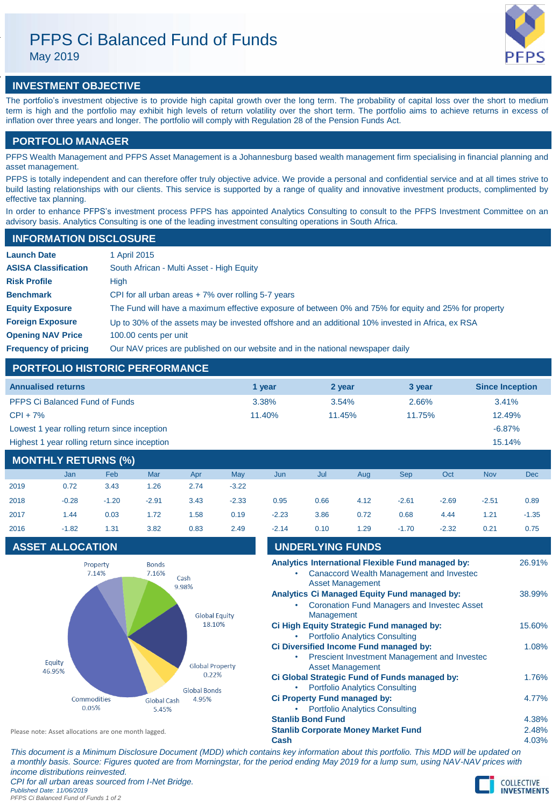# PFPS Ci Balanced Fund of Funds

May 2019



## **INVESTMENT OBJECTIVE**

The portfolio's investment objective is to provide high capital growth over the long term. The probability of capital loss over the short to medium term is high and the portfolio may exhibit high levels of return volatility over the short term. The portfolio aims to achieve returns in excess of inflation over three years and longer. The portfolio will comply with Regulation 28 of the Pension Funds Act.

## **PORTFOLIO MANAGER**

PFPS Wealth Management and PFPS Asset Management is a Johannesburg based wealth management firm specialising in financial planning and asset management.

PFPS is totally independent and can therefore offer truly objective advice. We provide a personal and confidential service and at all times strive to build lasting relationships with our clients. This service is supported by a range of quality and innovative investment products, complimented by effective tax planning.

In order to enhance PFPS's investment process PFPS has appointed Analytics Consulting to consult to the PFPS Investment Committee on an advisory basis. Analytics Consulting is one of the leading investment consulting operations in South Africa.

## **INFORMATION DISCLOSURE**

| <b>Launch Date</b>          | 1 April 2015                                                                                          |
|-----------------------------|-------------------------------------------------------------------------------------------------------|
| <b>ASISA Classification</b> | South African - Multi Asset - High Equity                                                             |
| <b>Risk Profile</b>         | High                                                                                                  |
| <b>Benchmark</b>            | CPI for all urban areas $+7\%$ over rolling 5-7 years                                                 |
| <b>Equity Exposure</b>      | The Fund will have a maximum effective exposure of between 0% and 75% for equity and 25% for property |
| <b>Foreign Exposure</b>     | Up to 30% of the assets may be invested offshore and an additional 10% invested in Africa, ex RSA     |
| <b>Opening NAV Price</b>    | 100.00 cents per unit                                                                                 |
| <b>Frequency of pricing</b> | Our NAV prices are published on our website and in the national newspaper daily                       |

## **PORTFOLIO HISTORIC PERFORMANCE**

| <b>Annualised returns</b>                     | 1 vear | 2 year | 3 vear | <b>Since Inception</b> |
|-----------------------------------------------|--------|--------|--------|------------------------|
| <b>PFPS Ci Balanced Fund of Funds</b>         | 3.38%  | 3.54%  | 2.66%  | 3.41%                  |
| $CPI + 7%$                                    | 11.40% | 11.45% | 11.75% | 12.49%                 |
| Lowest 1 year rolling return since inception  |        |        |        | $-6.87%$               |
| Highest 1 year rolling return since inception |        |        |        | 15.14%                 |

## **MONTHLY RETURNS (%)**

|      | Jan     | Feb     | Mar     | Apr  | May     | Jun     | Jul  | Aug  | <b>Sep</b> | Oct     | <b>Nov</b> | Dec     |
|------|---------|---------|---------|------|---------|---------|------|------|------------|---------|------------|---------|
| 2019 | 0.72    | 3.43    | 1.26    | 2.74 | $-3.22$ |         |      |      |            |         |            |         |
| 2018 | $-0.28$ | $-1.20$ | $-2.91$ | 3.43 | $-2.33$ | 0.95    | 0.66 | 4.12 | $-2.61$    | $-2.69$ | $-2.51$    | 0.89    |
| 2017 | 1.44    | 0.03    | 1.72    | 1.58 | 0.19    | $-2.23$ | 3.86 | 0.72 | 0.68       | 4.44    | 1.21       | $-1.35$ |
| 2016 | $-1.82$ | 1.31    | 3.82    | 0.83 | 2.49    | $-2.14$ | 0.10 | 1.29 | $-1.70$    | $-2.32$ | 0.21       | 0.75    |

## **ASSET ALLOCATION**



| 2018 | $-0.28$                 | $-1.20$           | $-2.91$               | 3.43                   | $-2.33$ | 0.95    | 0.66                    | 4.12                                                                               | $-2.61$ | $-2.69$                                                                                              | $-2.51$ | 0.89    |
|------|-------------------------|-------------------|-----------------------|------------------------|---------|---------|-------------------------|------------------------------------------------------------------------------------|---------|------------------------------------------------------------------------------------------------------|---------|---------|
| 2017 | 1.44                    | 0.03              | 1.72                  | 1.58                   | 0.19    | $-2.23$ | 3.86                    | 0.72                                                                               | 0.68    | 4.44                                                                                                 | 1.21    | $-1.35$ |
| 2016 | $-1.82$                 | 1.31              | 3.82                  | 0.83                   | 2.49    | $-2.14$ | 0.10                    | 1.29                                                                               | $-1.70$ | $-2.32$                                                                                              | 0.21    | 0.75    |
|      | <b>ASSET ALLOCATION</b> |                   |                       |                        |         |         | <b>UNDERLYING FUNDS</b> |                                                                                    |         |                                                                                                      |         |         |
|      |                         | Property<br>7.14% | <b>Bonds</b><br>7.16% | Cash<br>9.98%          |         |         |                         | <b>Asset Management</b>                                                            |         | Analytics International Flexible Fund managed by:<br><b>Canaccord Wealth Management and Investec</b> |         | 26.91%  |
|      |                         |                   |                       | <b>Global Equity</b>   |         |         | Management              | <b>Analytics Ci Managed Equity Fund managed by:</b>                                |         | <b>Coronation Fund Managers and Invested Asset</b>                                                   |         | 38.99%  |
|      |                         |                   |                       | 18.10%                 |         |         |                         | Ci High Equity Strategic Fund managed by:<br><b>Portfolio Analytics Consulting</b> |         |                                                                                                      |         | 15.60%  |
|      | Equity                  |                   |                       | <b>Global Property</b> |         |         |                         | Ci Diversified Income Fund managed by:<br><b>Asset Management</b>                  |         | Prescient Investment Management and Invested                                                         |         | 1.08%   |
|      | 46.95%                  |                   |                       | 0.22%                  |         |         |                         | Ci Global Strategic Fund of Funds managed by:                                      |         |                                                                                                      |         | 1.76%   |
|      |                         |                   |                       |                        |         |         |                         |                                                                                    |         |                                                                                                      |         |         |

| CI Giobal Strategic Fund of Funds managed by: | 1.70% |
|-----------------------------------------------|-------|
| • Portfolio Analytics Consulting              |       |
| <b>Ci Property Fund managed by:</b>           | 4.77% |
| • Portfolio Analytics Consulting              |       |
| <b>Stanlib Bond Fund</b>                      | 4.38% |
| <b>Stanlib Corporate Money Market Fund</b>    | 2.48% |
| Cash                                          | 4.03% |

Please note: Asset allocations are one month lagged.

*This document is a Minimum Disclosure Document (MDD) which contains key information about this portfolio. This MDD will be updated on a monthly basis. Source: Figures quoted are from Morningstar, for the period ending May 2019 for a lump sum, using NAV-NAV prices with income distributions reinvested. CPI for all urban areas sourced from I-Net Bridge. Published Date: 11/06/2019 PFPS Ci Balanced Fund of Funds 1 of 2*